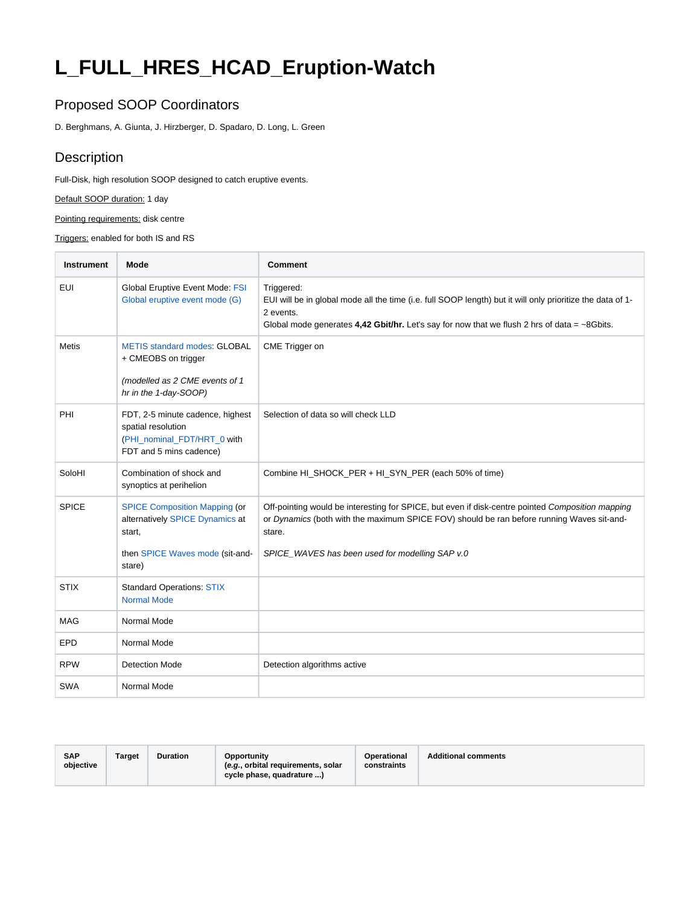## **L\_FULL\_HRES\_HCAD\_Eruption-Watch**

## Proposed SOOP Coordinators

D. Berghmans, A. Giunta, J. Hirzberger, D. Spadaro, D. Long, L. Green

## **Description**

Full-Disk, high resolution SOOP designed to catch eruptive events.

Default SOOP duration: 1 day

Pointing requirements: disk centre

Triggers: enabled for both IS and RS

| <b>Instrument</b> | Mode                                                                                                                           | <b>Comment</b>                                                                                                                                                                                                                                             |
|-------------------|--------------------------------------------------------------------------------------------------------------------------------|------------------------------------------------------------------------------------------------------------------------------------------------------------------------------------------------------------------------------------------------------------|
| EUI               | <b>Global Eruptive Event Mode: FSI</b><br>Global eruptive event mode (G)                                                       | Triggered:<br>EUI will be in global mode all the time (i.e. full SOOP length) but it will only prioritize the data of 1-<br>2 events.<br>Global mode generates 4,42 Gbit/hr. Let's say for now that we flush 2 hrs of data = $\sim$ 8Gbits.                |
| <b>Metis</b>      | <b>METIS standard modes: GLOBAL</b><br>+ CMEOBS on trigger<br>(modelled as 2 CME events of 1<br>hr in the 1-day-SOOP)          | CME Trigger on                                                                                                                                                                                                                                             |
| PHI               | FDT, 2-5 minute cadence, highest<br>spatial resolution<br>(PHI_nominal_FDT/HRT_0 with<br>FDT and 5 mins cadence)               | Selection of data so will check LLD                                                                                                                                                                                                                        |
| SoloHI            | Combination of shock and<br>synoptics at perihelion                                                                            | Combine HI_SHOCK_PER + HI_SYN_PER (each 50% of time)                                                                                                                                                                                                       |
| <b>SPICE</b>      | <b>SPICE Composition Mapping (or</b><br>alternatively SPICE Dynamics at<br>start,<br>then SPICE Waves mode (sit-and-<br>stare) | Off-pointing would be interesting for SPICE, but even if disk-centre pointed Composition mapping<br>or Dynamics (both with the maximum SPICE FOV) should be ran before running Waves sit-and-<br>stare.<br>SPICE_WAVES has been used for modelling SAP v.0 |
| <b>STIX</b>       | <b>Standard Operations: STIX</b><br><b>Normal Mode</b>                                                                         |                                                                                                                                                                                                                                                            |
| <b>MAG</b>        | Normal Mode                                                                                                                    |                                                                                                                                                                                                                                                            |
| <b>EPD</b>        | Normal Mode                                                                                                                    |                                                                                                                                                                                                                                                            |
| <b>RPW</b>        | <b>Detection Mode</b>                                                                                                          | Detection algorithms active                                                                                                                                                                                                                                |
| <b>SWA</b>        | Normal Mode                                                                                                                    |                                                                                                                                                                                                                                                            |